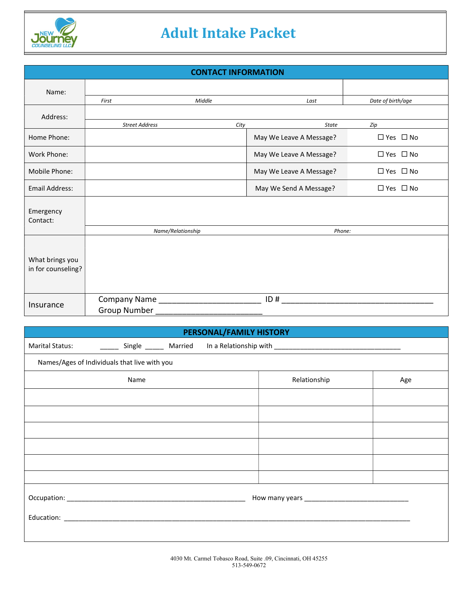

# Adult Intake Packet

| <b>CONTACT INFORMATION</b>            |                                           |        |                         |                      |
|---------------------------------------|-------------------------------------------|--------|-------------------------|----------------------|
| Name:                                 |                                           |        |                         |                      |
|                                       | First                                     | Middle | Last                    | Date of birth/age    |
| Address:                              |                                           |        |                         |                      |
|                                       | <b>Street Address</b>                     | City   | <b>State</b>            | Zip                  |
| Home Phone:                           |                                           |        | May We Leave A Message? | $\Box$ Yes $\Box$ No |
| Work Phone:                           |                                           |        | May We Leave A Message? | $\Box$ Yes $\Box$ No |
| Mobile Phone:                         |                                           |        | May We Leave A Message? | $\Box$ Yes $\Box$ No |
| Email Address:                        |                                           |        | May We Send A Message?  | $\Box$ Yes $\Box$ No |
| Emergency<br>Contact:                 |                                           |        |                         |                      |
|                                       | Name/Relationship                         |        | Phone:                  |                      |
| What brings you<br>in for counseling? |                                           |        |                         |                      |
| Insurance                             | Company Name ____________<br>Group Number |        | ID#                     |                      |

## PERSONAL/FAMILY HISTORY

| <b>Marital Status:</b> | <b>Single</b> | Married | In a Relationship with |  |
|------------------------|---------------|---------|------------------------|--|
|                        |               |         |                        |  |

| Names/Ages of Individuals that live with you |  |              |     |
|----------------------------------------------|--|--------------|-----|
| Name                                         |  | Relationship | Age |
|                                              |  |              |     |
|                                              |  |              |     |
|                                              |  |              |     |
|                                              |  |              |     |
|                                              |  |              |     |
|                                              |  |              |     |
|                                              |  |              |     |
|                                              |  |              |     |
|                                              |  |              |     |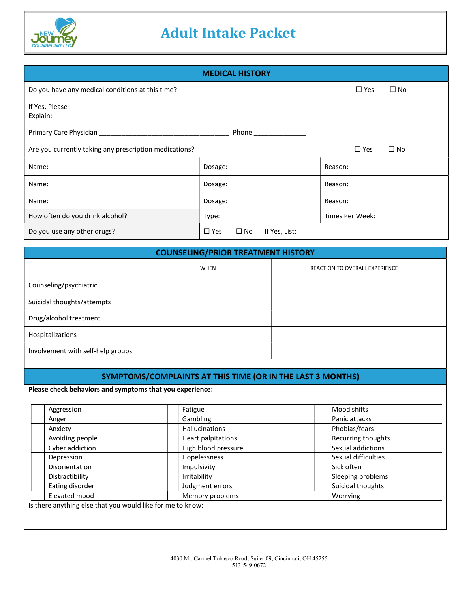

## Adult Intake Packet

| <b>MEDICAL HISTORY</b> |  |  |
|------------------------|--|--|
|                        |  |  |

| Do you have any medical conditions at this time?                                     | $\square$ Yes<br>$\Box$ No                     |                 |  |
|--------------------------------------------------------------------------------------|------------------------------------------------|-----------------|--|
| If Yes, Please<br>Explain:                                                           |                                                |                 |  |
| Phone _____________                                                                  |                                                |                 |  |
| $\Box$ Yes<br>Are you currently taking any prescription medications?<br>$\square$ No |                                                |                 |  |
| Name:                                                                                | Dosage:                                        | Reason:         |  |
| Name:                                                                                | Dosage:                                        | Reason:         |  |
| Name:                                                                                | Dosage:                                        | Reason:         |  |
| How often do you drink alcohol?                                                      | Type:                                          | Times Per Week: |  |
| Do you use any other drugs?                                                          | $\square$ Yes<br>$\square$ No<br>If Yes, List: |                 |  |

| <b>COUNSELING/PRIOR TREATMENT HISTORY</b> |      |                                       |  |
|-------------------------------------------|------|---------------------------------------|--|
|                                           | WHEN | <b>REACTION TO OVERALL EXPERIENCE</b> |  |
| Counseling/psychiatric                    |      |                                       |  |
| Suicidal thoughts/attempts                |      |                                       |  |
| Drug/alcohol treatment                    |      |                                       |  |
| Hospitalizations                          |      |                                       |  |
| Involvement with self-help groups         |      |                                       |  |

## SYMPTOMS/COMPLAINTS AT THIS TIME (OR IN THE LAST 3 MONTHS)

Please check behaviors and symptoms that you experience:

| Aggression      | Fatigue               | Mood shifts         |
|-----------------|-----------------------|---------------------|
| Anger           | Gambling              | Panic attacks       |
| Anxiety         | <b>Hallucinations</b> | Phobias/fears       |
| Avoiding people | Heart palpitations    | Recurring thoughts  |
| Cyber addiction | High blood pressure   | Sexual addictions   |
| Depression      | Hopelessness          | Sexual difficulties |
| Disorientation  | Impulsivity           | Sick often          |
| Distractibility | Irritability          | Sleeping problems   |
| Eating disorder | Judgment errors       | Suicidal thoughts   |
| Elevated mood   | Memory problems       | Worrying            |